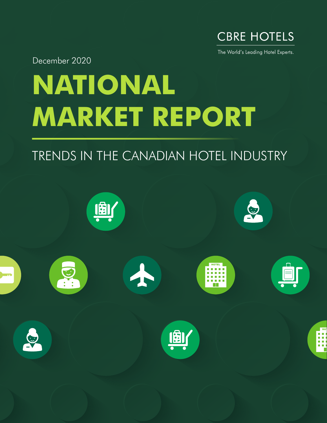

The World's Leading Hotel Experts.

December 2020

# **NATIONAL MARKET REPORT**

## TRENDS IN THE CANADIAN HOTEL INDUSTRY

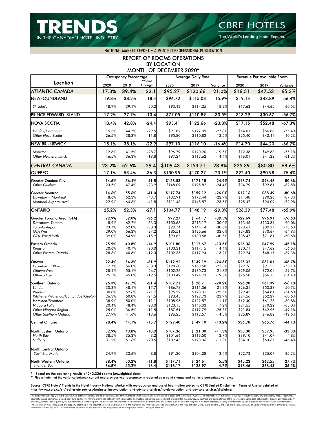

The World's Leading Hotel Experts.

NATIONAL MARKET REPORT . A MONTHLY PROFESSIONAL PUBLICATION

### REPORT OF ROOMS OPERATIONS BY LOCATION MONTH OF DECEMBER 2020\*

|                                             |                | <b>Occupancy Percentage</b> |                    |                      | <b>Average Daily Rate</b> |                      |                    | Revenue Per Available Room |                      |
|---------------------------------------------|----------------|-----------------------------|--------------------|----------------------|---------------------------|----------------------|--------------------|----------------------------|----------------------|
| Location                                    | 2020           | 2019                        | **Point<br>Change  | 2020                 | 2019                      | Variance             | 2020               | 2019                       | Variance             |
| <b>ATLANTIC CANADA</b>                      | 17.3%          | 39.4%                       | $-22.1$            | \$95.27              | \$120.66                  | $-21.0%$             | \$16.51            | \$47.53                    | $-65.3%$             |
| <b>NEWFOUNDLAND</b>                         | 19.8%          | 38.2%                       | $-18.4$            | \$96.72              | \$115.03                  | $-15.9%$             | \$19.14            | \$43.89                    | $-56.4%$             |
| St. John's                                  | 18.9%          | 39.1%                       | $-20.2$            | \$93.42              | \$114.25                  | $-18.2%$             | \$17.62            | \$44.65                    | $-60.5%$             |
| PRINCE EDWARD ISLAND                        | 17.2%          | 27.7%                       | $-10.4$            | \$77.05              | \$110.89                  | $-30.5%$             | \$13.29            | \$30.67                    | $-56.7%$             |
| <b>NOVA SCOTIA</b>                          | 18.4%          | 42.8%                       | $-24.4$            | \$93.41              | \$122.66                  | $-23.8%$             | \$17.15            | \$52.48                    | $-67.3%$             |
| Halifax/Dartmouth<br>Other Nova Scotia      | 15.3%<br>26.5% | 44.7%<br>38.3%              | $-29.5$<br>$-11.8$ | \$91.82<br>\$95.80   | \$127.09<br>\$110.82      | $-27.8%$<br>$-13.5%$ | \$14.01<br>\$25.40 | \$56.86<br>\$42.44         | $-75.4%$<br>$-40.2%$ |
| <b>NEW BRUNSWICK</b>                        | 15.1%          | 38.1%                       | $-22.9$            | \$97.10              | \$116.10                  | $-16.4%$             | \$14.70            | \$44.20                    | $-66.7%$             |
| Moncton<br>Other New Brunswick              | 12.8%<br>16.5% | 41.5%<br>36.3%              | $-28.7$<br>$-19.8$ | \$96.79<br>\$97.24   | \$120.20<br>\$113.62      | $-19.5%$<br>$-14.4%$ | \$12.38<br>\$16.01 | \$49.83<br>\$41.22         | $-75.1%$<br>$-61.2%$ |
| <b>CENTRAL CANADA</b>                       | 23.2%          | 52.6%                       | $-29.4$            | \$109.43             | \$153.71                  | $-28.8%$             | \$25.39            | \$80.80                    | $-68.6%$             |
| <b>QUEBEC</b>                               | 17.1%          | 53.4%                       | $-36.3$            | \$130.95             | \$170.27                  | $-23.1%$             | 322.40             | \$90.98                    | $-75.4%$             |
| <b>Greater Quebec City</b><br>Other Quebec  | 14.6%<br>23.5% | 56.4%<br>47.4%              | $-41.8$<br>$-23.9$ | \$128.53<br>\$148.09 | \$171.18<br>\$195.82      | $-24.9%$<br>$-24.4%$ | \$18.74<br>\$34.79 | \$96.48<br>\$92.81         | $-80.6%$<br>$-62.5%$ |
| <b>Greater Montreal</b>                     | 14.6%          | 55.6%                       | $-41.0$            | \$117.74             | \$159.12                  | $-26.0%$             | \$17.16            | \$88.49                    | $-80.6%$             |
| Downtown Montreal<br>Montreal Airport/Laval | 8.6%<br>22.9%  | 52.3%<br>64.6%              | $-43.7$<br>$-41.8$ | \$132.91<br>\$111.43 | \$172.44<br>\$145.57      | $-22.9%$<br>$-23.5%$ | \$11.48<br>\$25.47 | \$90.26<br>\$94.09         | $-87.3%$<br>$-72.9%$ |
| <b>ONTARIO</b>                              | 25.2%          | 52.3%                       | $-27.1$            | \$104.77             | \$148.19                  | $-29.3%$             | \$26.39            | \$77.48                    | $-65.9%$             |
| Greater Toronto Area (GTA)                  | 22.9%          | 59.0%                       | $-36.2$            | \$99.27              | \$164.17                  | $-39.5%$             | \$22.69            | \$96.91                    | $-76.6%$             |
| Downtown Toronto                            | 8.9%           | 62.2%                       | $-53.3$            | \$150.68             | \$215.17                  | $-30.0%$             | \$13.45            | \$133.89                   | $-90.0%$             |
| Toronto Airport                             | 23.7%          | 62.0%                       | $-38.3$            | \$99.74              | \$144.14                  | $-30.8%$             | \$23.61            | \$89.37                    | $-73.6%$             |
| <b>GTA West</b>                             | 29.0%          | 56.2%                       | $-27.2$            | \$85.51              | \$125.66                  | $-32.0%$             | \$24.83            | \$70.67                    | $-64.9%$             |
| GTA East/North                              | 39.0%          | 54.9%                       | $-15.9$            | \$90.87              | \$130.68                  | $-30.5%$             | \$35.47            | \$71.81                    | $-50.6%$             |
| <b>Eastern Ontario</b>                      | 25.9%          | 40.8%                       | $-14.9$            | \$101.80             | \$117.67                  | $-13.5%$             | \$26.36            | \$47.99                    | $-45.1%$             |
| Kingston<br>Other Eastern Ontario           | 20.6%<br>28.6% | 40.7%<br>40.8%              | $-20.0$<br>$-12.3$ | \$100.31<br>\$102.35 | \$117.15<br>\$117.94      | $-14.4%$<br>$-13.2%$ | \$20.71<br>\$29.24 | \$47.62<br>\$48.17         | $-56.5%$<br>$-39.3%$ |
|                                             |                |                             |                    |                      |                           |                      |                    |                            |                      |
| Ottawa                                      | 22.4%          | 54.3%                       | $-31.9$            | \$112.92             | \$149.19                  | $-24.3%$             | \$25.32            | \$81.01                    | -68.7%               |
| Downtown Ottawa                             | 17.7%          | 56.0%                       | $-38.3$            | \$128.60             | \$163.50                  | $-21.3%$             | \$22.76            | \$91.55                    | $-75.1%$             |
| Ottawa West<br>Ottawa East                  | 28.4%<br>25.5% | 55.1%<br>45.0%              | $-26.7$<br>$-19.5$ | \$102.26<br>\$100.42 | \$130.73<br>\$124.73      | $-21.8%$<br>$-19.5%$ | \$29.06<br>\$25.58 | \$72.04<br>\$56.15         | $-59.7%$<br>$-54.4%$ |
|                                             |                |                             |                    |                      |                           |                      |                    |                            |                      |
| Southern Ontario                            | 26.3%          | 47.7%                       | $-21.4$            | \$102.71             | \$128.71                  | $-20.2%$             | \$26.98            | \$61.39                    | $-56.1%$             |
| London<br>Windsor                           | 30.3%<br>30.8% | 48.1%<br>52.6%              | $-17.7$<br>$-21.7$ | \$86.78<br>\$95.52   | \$111.06<br>\$123.31      | $-21.9%$<br>$-22.5%$ | \$26.31<br>\$29.45 | \$53.38<br>\$64.81         | $-50.7%$<br>$-54.6%$ |
| Kitchener/Waterloo/Cambridge/Guelph         | 26.3%          | 50.8%                       | $-24.5$            | \$93.45              | \$122.73                  | $-23.9%$             | \$24.56            | \$62.29                    | $-60.6%$             |
| Hamilton/Brantford                          | 38.9%          | 50.0%                       | $-11.1$            | \$108.95             | \$122.57                  | $-11.1%$             | \$42.40            | \$61.26                    | $-30.8%$             |
| Niagara Falls                               | 20.4%          | 48.4%                       | $-28.0$            | \$120.15             | \$145.03                  | $-17.2%$             | \$24.55            | \$70.22                    | $-65.0%$             |
| Other Niagara Region                        | 25.0%          | 36.5%                       | $-11.5$            | \$87.51              | \$117.79                  | $-25.7%$             | \$21.84            | \$42.95                    | $-49.1%$             |
| Other Southern Ontario                      | 27.9%          | 41.6%                       | $-13.6$            | \$96.25              | \$112.57                  | $-14.5%$             | \$26.89            | \$46.82                    | $-42.6%$             |
| <b>Central Ontario</b>                      | 28.4%          | 44.1%                       | $-15.7$            | \$129.40             | \$149.10                  | $-13.2%$             | \$36.78            | \$65.76                    | $-44.1%$             |
| North Eastern Ontario                       | 32.9%          | 43.8%                       | -10.9              | \$107.36             | \$121.00                  | $-11.3%$             | \$35.30            | \$52.95                    | $-33.3%$             |
| North Bay                                   | 38.5%          | 35.3%                       | 3.2                | \$101.66             | \$116.50                  | $-12.7%$             | \$39.10            | \$41.07                    | $-4.8%$              |
| Sudbury                                     | 31.2%          | 51.6%                       | $-20.5$            | \$109.43             | \$123.36                  | $-11.3%$             | \$34.10            | \$63.67                    | $-46.4%$             |
| North Central Ontario                       |                |                             |                    |                      |                           |                      |                    |                            |                      |
| Sault Ste. Marie                            | 24.9%          | 33.6%                       | $-8.8$             | \$91.30              | \$104.28                  | $-12.4%$             | \$22.72            | \$35.07                    | $-35.2%$             |
| North Western Ontario<br>Thunder Bay        | 38.4%<br>36.8% | 50.2%<br>55.2%              | $-11.8$<br>$-18.4$ | \$117.71<br>\$118.17 | \$124.61<br>\$123.97      | $-5.5%$<br>$-4.7%$   | \$45.23<br>\$43.46 | \$62.55<br>\$68.43         | $-27.7%$<br>$-36.5%$ |

\* Based on the operating results of 242,326 rooms (unweighted data) \*\* Please note that the variance between current and previous year occupancy is reported as a point change and not as a percentage variance.

### Source: CBRE Hotels' Trends in the Hotel Industry National Market with reproduction and use of information subject to CBRE Limited Disclaimer | Terms of Use as detailed at<br>https://www.cbre.ca/en/real-estate-services/busine

This disclaimer shall apply to CBRE Limited, Real Estate Brokerage, and to all other divisions of the Corporation; to include all employees and independent contractors ("CBRE"). The information set out herein, including, w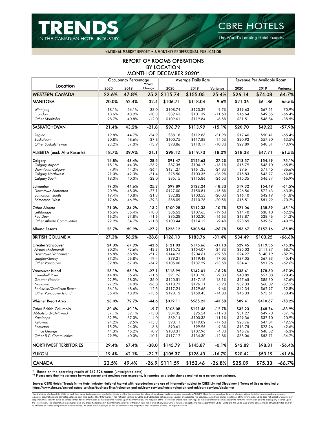

The World's Leading Hotel Experts.

NATIONAL MARKET REPORT . A MONTHLY PROFESSIONAL PUBLICATION

### REPORT OF ROOMS OPERATIONS BY LOCATION MONTH OF DECEMBER 2020\*

|                                      |                | <b>Occupancy Percentage</b> |                    |                      | <b>Average Daily Rate</b> |                      | Revenue Per Available Room |                    |                      |
|--------------------------------------|----------------|-----------------------------|--------------------|----------------------|---------------------------|----------------------|----------------------------|--------------------|----------------------|
| Location                             | 2020           | 2019                        | **Point<br>Change  | 2020                 | 2019                      | Variance             | 2020                       | 2019               | Variance             |
| <b>WESTERN CANADA</b>                | 22.6%          | 47.8%                       | $-25.2$            | \$115.74             | \$155.05                  | $-25.4%$             | \$26.14                    | \$74.08            | $-64.7%$             |
| <b>MANITOBA</b>                      | 20.0%          | 52.4%                       | $-32.4$            | \$106.71             | \$118.04                  | $-9.6%$              | \$21.36                    | \$61.86            | $-65.5%$             |
| Winnipeg                             | 18.1%          | 56.1%                       | $-38.0$            | \$108.74             | \$120.39                  | $-9.7%$              | \$19.63                    | \$67.51            | $-70.9%$             |
| Brandon                              | 18.6%          | 48.9%                       | $-30.3$            | \$89.63              | \$101.39                  | $-11.6%$             | \$16.64                    | \$49.55            | $-66.4%$             |
| Other Manitoba                       | 28.7%          | 40.8%                       | $-12.0$            | \$109.61             | \$119.84                  | $-8.5%$              | \$31.51                    | \$48.84            | $-35.5%$             |
| <b>SASKATCHEWAN</b>                  | 21.4%          | 43.2%                       | $-21.8$            | \$96.79              | \$113.99                  | $-15.1%$             | \$20.70                    | \$49.23            | $-57.9%$             |
| Regina                               | 19.8%          | 44.7%                       | $-24.9$            | \$88.18              | \$112.86                  | $-21.9%$             | \$17.46                    | \$50.41            | $-65.4%$             |
| Saskatoon                            | 20.8%          | 48.6%                       | $-27.8$            | \$100.75             | \$117.88                  | $-14.5%$             | \$20.92                    | \$57.30            | $-63.5%$             |
| Other Saskatchewan                   | 23.2%          | 37.0%                       | $-13.9$            | \$98.86              | \$110.17                  | $-10.3%$             | \$22.89                    | \$40.81            | $-43.9%$             |
| ALBERTA (excl. Alta Resorts)         | 18.7%          | 39.9%                       | $-21.1$            | \$98.12              | \$119.73                  | $-18.0%$             | \$18.38                    | \$47.71            | $-61.5%$             |
| Calgary                              | 14.8%          | 43.4%                       | $-28.5$            | \$91.47              | \$125.63                  | -27.2%               | \$13.57                    | \$54.49            | $-75.1%$             |
| <b>Calgary Airport</b>               | 18.1%          | 44.3%                       | $-26.2$            | \$87.35              | \$104.17                  | $-16.1%$             | \$15.79                    | \$46.10            | $-65.8%$             |
| Downtown Calgary                     | 7.9%           | 44.3%                       | $-36.4$            | \$121.27             | \$161.35                  | $-24.8%$             | \$9.61                     | \$71.45            | $-86.6%$             |
| <b>Calgary Northwest</b>             | 21.0%          | 42.3%                       | $-21.4$            | \$75.50              | \$103.35                  | $-26.9%$             | \$15.83                    | \$43.77            | $-63.8%$             |
| <b>Calgary South</b>                 | 18.0%          | 40.0%                       | $-22.0$            | \$85.15              | \$115.86                  | $-26.5%$             | \$15.35                    | \$46.37            | $-66.9%$             |
| Edmonton                             | 19.3%          | 44.6%                       | $-25.2$            | \$99.89              | \$122.24                  | -18.3%               | \$19.32                    | \$54.49            | $-64.5%$             |
| Downtown Edmonton                    | 20.9%          | 48.0%                       | $-27.1$            | \$127.00             | \$150.81                  | $-15.8%$             | \$26.56                    | \$72.43            | $-63.3%$             |
| Edmonton South                       | 19.4%          | 40.8%                       | $-21.3$            | \$82.82              | \$103.53                  | $-20.0%$             | \$16.10                    | \$42.19            | $-61.8%$             |
| Edmonton West                        | 17.6%          | 46.9%                       | $-29.3$            | \$88.09              | \$110.78                  | $-20.5%$             | \$15.51                    | \$51.99            | $-70.2%$             |
| Other Alberta                        | 21.0%          | 34.2%                       | $-13.2$            | \$100.28             | \$112.33                  | -10.7%               | \$21.06                    | \$38.39            | $-45.1%$             |
| Lethbridge                           | 16.6%          | 35.4%                       | $-18.8$            | \$86.53              | \$107.65                  | $-19.6%$             | \$14.40                    | \$38.10            | $-62.2%$             |
| <b>Red Deer</b>                      | 16.3%          | 27.8%                       | $-11.6$            | \$85.28              | \$102.30                  | $-16.6%$             | \$13.87                    | \$28.46            | $-51.3%$             |
| <b>Other Alberta Communities</b>     | 22.9%          | 34.7%                       | $-11.8$            | \$103.44             | \$114.12                  | $-9.4%$              | \$23.65                    | \$39.57            | $-40.2%$             |
| Alberta Resorts                      | 23.7%          | 50.9%                       | $-27.2$            | \$226.12             | \$308.54                  | $-26.7%$             | \$53.67                    | \$157.16           | $-65.8%$             |
| <b>BRITISH COLUMBIA</b>              | 27.3%          | 56.2%                       | $-28.8$            | \$126.13             | \$183.76                  | $-31.4%$             | \$34.49                    | \$103.25           | $-66.6%$             |
| Greater Vancouver                    | 24.3%          | 67.9%                       | $-43.6$            | \$121.03             | \$175.66                  | -31.1%               | \$29.45                    | \$119.35           | $-75.3%$             |
| Airport (Richmond)                   | 30.3%          | 72.6%                       | $-42.3$            | \$115.75             | \$154.07                  | $-24.9%$             | \$35.03                    | \$111.87           | $-68.7%$             |
| Downtown Vancouver                   | 16.8%          | 68.5%                       | $-51.7$            | \$144.23             | \$204.61                  | $-29.5%$             | \$24.27                    | \$140.19           | $-82.7%$             |
| Langley/Surrey                       | 37.3%          | 56.8%                       | $-19.4$            | \$99.21              | \$119.48                  | $-17.0%$             | \$37.05                    | \$67.83            | $-45.4%$             |
| <b>Other Vancouver</b>               | 32.8%          | 67.0%                       | $-34.2$            | \$105.00             | \$137.29                  | $-23.5%$             | \$34.41                    | \$91.96            | $-62.6%$             |
| Vancouver Island                     | 28.1%          | 55.1%                       | $-27.1$            | \$118.99             | \$142.01                  | -16.2%               | \$33.41                    | \$78.30            | $-57.3%$             |
| <b>Campbell River</b>                | 44.8%          | 56.4%                       | $-11.6$            | \$91.26              | \$101.20                  | $-9.8%$              | \$40.89                    | \$57.08            | $-28.4%$             |
| Greater Victoria                     | 22.9%          | 58.0%                       | $-35.0$            | \$120.51             | \$147.16                  | $-18.1%$             | \$27.65                    | \$85.30            | $-67.6%$             |
| Nanaimo<br>Parksville/Qualicum Beach | 27.2%<br>36.1% | 54.0%<br>48.6%              | $-26.8$<br>$-12.5$ | \$118.73<br>\$117.24 | \$126.11<br>\$129.66      | $-5.9%$<br>$-9.6%$   | \$32.33<br>\$42.34         | \$68.09<br>\$62.97 | $-52.5%$<br>$-32.8%$ |
| Other Vancouver Island               | 35.4%          | 48.9%                       | $-13.6$            | \$128.12             | \$150.43                  | $-14.8%$             | \$45.33                    | \$73.61            | $-38.4%$             |
| Whistler Resort Area                 | 28.0%          | 72.7%                       | -44.6              | \$319.11             | \$565.23                  | $-43.5%$             | \$89.41                    | \$410.67           | $-78.2%$             |
| Other British Columbia               |                | 40.1%                       | $-9.7$             | \$106.08             |                           |                      | \$32.23                    | \$48.74            | $-33.9%$             |
| Abbotsford/Chilliwack                | 30.4%<br>37.1% | 52.1%                       | $-15.0$            | \$84.35              | \$121.48<br>\$95.54       | $-12.7%$<br>$-11.7%$ | \$31.27                    | \$49.73            | $-37.1%$             |
| Kamloops                             | 32.9%          | 37.0%                       | $-4.0$             | \$89.14              | \$100.33                  | $-11.1%$             | \$29.36                    | \$37.10            | $-20.9%$             |
| Kelowna                              | 24.2%          | 39.5%                       | $-15.3$            | \$98.11              | \$119.02                  | $-17.6%$             | \$23.76                    | \$47.04            | $-49.5%$             |
| Penticton                            | 15.2%          | 24.0%                       | $-8.8$             | \$90.61              | \$99.95                   | $-9.3%$              | \$13.75                    | \$23.96            | $-42.6%$             |
| Prince George                        | 44.3%          | 45.2%                       | $-0.9$             | \$103.31             | \$107.96                  | $-4.3%$              | \$45.76                    | \$48.82            | $-6.3%$              |
| Other B.C. Communities               | 29.9%          | 40.0%                       | $-10.1$            | \$117.12             | \$134.30                  | $-12.8%$             | \$35.06                    | \$53.71            | $-34.7%$             |
| <b>NORTHWEST TERRITORIES</b>         | 29.4%          | 67.4%                       | $-38.0$            | \$145.79             | \$145.87                  | $-0.1%$              | \$42.82                    | \$98.31            | $-56.4%$             |
| <b>YUKON</b>                         | 19.4%          | 42.1%                       | $-22.7$            | \$105.37             | \$126.43                  | $-16.7%$             | \$20.42                    | \$53.19            | $-61.6%$             |
|                                      |                |                             |                    |                      |                           |                      |                            |                    |                      |
| <b>CANADA</b>                        | 22.5%          | 49.4%                       | $-26.9$            | \$111.59             | \$152.46                  | $-26.8%$             | \$25.09                    | \$75.33            | $-66.7%$             |

\* Based on the operating results of 242,326 rooms (unweighted data)

\*\* Please note that the variance between current and previous year occupancy is reported as a point change and not as a percentage variance.

Source: CBRE Hotels' Trends in the Hotel Industry National Market with reproduction and use of information subject to CBRE Limited Disclaimer | Terms of Use as detailed at https://www.cbre.ca/en/real-estate-services/business-lines/valuation-and-advisory-services/hotels-valuation-and-advisory-services/disclaimer

This discloimer shall opply to CBR Limled, Real Estate Brokerage, and to all onler divisions of the Corporation; to include all employees and independent contents/ors. ("CBRE"). The information any projections, assumptions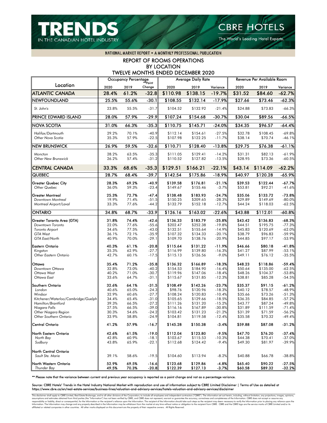

The World's Leading Hotel Experts.

NATIONAL MARKET REPORT . A MONTHLY PROFESSIONAL PUBLICATION

### REPORT OF ROOMS OPERATIONS BY LOCATION TWELVE MONTHS ENDED DECEMBER 2020

|                                                           |                | <b>Occupancy Percentage</b> | **Point            |                      | <b>Average Daily Rate</b> |                      |                    | Revenue Per Available Room |                      |
|-----------------------------------------------------------|----------------|-----------------------------|--------------------|----------------------|---------------------------|----------------------|--------------------|----------------------------|----------------------|
| Location                                                  | 2020           | 2019                        | Change             | 2020                 | 2019                      | Variance             | 2020               | 2019                       | Variance             |
| <b>ATLANTIC CANADA</b>                                    | 28.4%          | 61.2%                       | $-32.8$            | \$110.98             | \$138.15                  | $-19.7%$             | \$31.52            | \$84.60                    | $-62.7%$             |
| NEWFOUNDLAND                                              | 25.5%          | 55.6%                       | $-30.1$            | \$108.55             | \$132.14                  | $-17.9%$             | \$27.66            | \$73.46                    | $-62.3%$             |
| St. John's                                                | 23.8%          | 55.5%                       | $-31.7$            | \$104.52             | \$132.92                  | $-21.4%$             | \$24.88            | \$73.83                    | $-66.3%$             |
| PRINCE EDWARD ISLAND                                      | 28.0%          | 57.9%                       | $-29.9$            | \$107.24             | \$154.68                  | $-30.7%$             | \$30.04            | \$89.56                    | $-66.5%$             |
| <b>NOVA SCOTIA</b>                                        | 31.0%          | 66.3%                       | $-35.3$            | \$110.75             | \$145.71                  | $-24.0%$             | \$34.35            | \$96.57                    | $-64.4%$             |
| Halifax/Dartmouth<br>Other Nova Scotia                    | 29.2%<br>35.3% | 70.1%<br>57.9%              | $-40.9$<br>$-22.5$ | \$112.14<br>\$107.98 | \$154.61<br>\$122.25      | $-27.5%$<br>$-11.7%$ | \$32.78<br>\$38.14 | \$108.45<br>\$70.74        | $-69.8%$<br>$-46.1%$ |
| <b>NEW BRUNSWICK</b>                                      | 26.9%          | 59.5%                       | $-32.6$            | $\overline{$}110.71$ | \$128.40                  | $-13.8%$             | \$29.75            | \$76.38                    | $-61.1%$             |
| Moncton<br>Other New Brunswick                            | 28.2%<br>26.2% | 63.5%<br>57.4%              | $-35.3$<br>$-31.2$ | \$111.05<br>\$110.52 | \$129.41<br>\$127.82      | $-14.2%$<br>$-13.5%$ | \$31.31<br>\$28.95 | \$82.13<br>\$73.36         | $-61.9%$<br>$-60.5%$ |
| <b>CENTRAL CANADA</b>                                     | 33.3%          | 68.6%                       | $-35.3$            | \$129.51             | \$166.21                  | $-22.1%$             | \$43.14            | \$114.09                   | $-62.2%$             |
| QUEBEC                                                    | 28.7%          | 68.4%                       | $-39.7$            | \$142.54             | \$175.86                  | $-18.9%$             | \$40.97            | \$120.28                   | $-65.9%$             |
| Greater Quebec City<br>Other Quebec                       | 28.3%<br>36.0% | 69.2%<br>59.3%              | $-40.9$<br>$-23.4$ | \$139.58<br>\$149.67 | \$176.81<br>\$155.46      | $-21.1%$<br>$-3.7%$  | \$39.53<br>\$53.81 | \$122.44<br>\$92.21        | $-67.7%$<br>$-41.6%$ |
| Greater Montreal<br>Downtown Montreal                     | 25.3%<br>19.9% | 72.7%<br>71.4%              | $-47.4$<br>$-51.5$ | \$138.48<br>\$150.25 | \$183.93<br>\$209.65      | $-24.7%$<br>$-28.3%$ | \$35.06<br>\$29.89 | \$133.72<br>\$149.69       | $-73.8%$<br>$-80.0%$ |
| Montreal Airport/Laval                                    | 33.3%          | 77.6%                       | $-44.2$            | \$132.79             | \$152.18                  | $-12.7%$             | \$44.24            | \$118.03                   | $-62.5%$             |
| ONTARIO                                                   | 34.8%          | 68.7%                       | $-33.9$            | \$126.16             | \$163.02                  | $-22.6%$             | \$43.88            | \$112.01                   | $-60.8%$             |
| Greater Toronto Area (GTA)                                | 31.8%          | 74.4%                       | $-42.6$            | \$136.33             | \$183.79                  | $-25.8%$             | \$43.42            | \$136.83                   | $-68.3%$             |
| Downtown Toronto                                          | 22.0%          | 77.6%                       | $-55.6$            | \$202.47             | \$252.38                  | $-19.8%$             | \$44.51            | \$195.75                   | $-77.3%$             |
| Toronto Airport                                           | 34.6%          | 77.5%<br>72.1%              | $-43.0$<br>$-35.9$ | \$132.51<br>\$107.32 | \$155.64                  | $-14.9%$             | \$45.83<br>\$38.79 | \$120.69                   | $-62.0%$             |
| <b>GTA West</b><br>GTA East/North                         | 36.1%<br>40.9% | 70.0%                       | $-29.1$            | \$109.70             | \$134.33<br>\$138.76      | $-20.1%$<br>$-20.9%$ | \$44.85            | \$96.83<br>\$97.17         | $-59.9%$<br>$-53.9%$ |
| Eastern Ontario                                           | 40.3%          | 61.1%                       | $-20.8$            | \$115.64             | \$131.22                  | $-11.9%$             | \$46.66            | \$80.18                    | $-41.8%$             |
| Kingston                                                  | 35.3%          | 62.9%                       | $-27.7$            | \$116.99             | \$139.80                  | $-16.3%$             | \$41.27            | \$87.99                    | $-53.1%$             |
| Other Eastern Ontario                                     | 42.7%          | 60.1%                       | $-17.5$            | \$115.13             | \$126.56                  | $-9.0%$              | \$49.11            | \$76.12                    | $-35.5%$             |
| Ottawa                                                    | 35.4%          | 71.2%                       | $-35.8$            | \$136.32             | \$166.89                  | $-18.3%$             | \$48.23            | \$118.86                   | $-59.4%$             |
| Downtown Ottawa                                           | 32.8%          | 73.0%                       | $-40.2$            | \$154.53             | \$184.90                  | $-16.4%$             | \$50.64            | \$135.00                   | $-62.5%$             |
| Ottawa West                                               | 40.2%          | 71.0%                       | $-30.7$            | \$119.96             | \$147.06                  | $-18.4%$             | \$48.26            | \$104.37                   | $-53.8%$             |
| Ottawa East                                               | 33.6%          | 64.7%                       | $-31.1$            | \$115.67             | \$131.85                  | $-12.3%$             | \$38.81            | \$85.28                    | $-54.5%$             |
| Southern Ontario                                          | 32.6%          | 64.1%                       | $-31.5$            | \$108.49             | \$142.26                  | $-23.7%$             | \$35.37            | \$91.15                    | $-61.2%$             |
| London                                                    | 40.6%          | 65.0%                       | $-24.3$            | \$98.76              | \$120.96                  | $-18.3%$             | \$40.12            | \$78.57                    | $-48.9%$             |
| Windsor                                                   | 32.9%          | 60.6%                       | $-27.7$            | \$108.24             | \$120.83                  | $-10.4%$             | \$35.66            | \$73.26                    | $-51.3%$             |
| Kitchener/Waterloo/Cambridge/Guelph<br>Hamilton/Brantford | 34.4%          | 65.4%                       | $-31.0$            | \$105.65             | \$129.66                  | $-18.5%$             | \$36.35            | \$84.85                    | $-57.2%$             |
| Niagara Falls                                             | 39.3%<br>27.5% | 66.5%<br>66.5%              | $-27.2$<br>$-39.0$ | \$111.26<br>\$116.16 | \$131.20<br>\$167.89      | $-15.2%$<br>$-30.8%$ | \$43.77<br>\$31.89 | \$87.24<br>\$111.59        | $-49.8%$<br>$-71.4%$ |
| Other Niagara Region                                      | 30.3%          | 54.6%                       | $-24.2$            | \$103.42             | \$131.23                  | $-21.2%$             | \$31.39            | \$71.59                    | $-56.2%$             |
| Other Southern Ontario                                    | 33.9%          | 58.8%                       | $-24.9$            | \$104.81             | \$119.58                  | $-12.4%$             | \$35.58            | \$70.32                    | $-49.4%$             |
| Central Ontario                                           | 41.2%          | 57.9%                       | $-16.7$            | \$145.28             | \$150.38                  | $-3.4%$              | \$59.88            | \$87.08                    | $-31.2%$             |
| North Eastern Ontario                                     | 42.6%          | 61.5%                       | $-19.0$            | \$112.04             | \$123.80                  | $-9.5%$              | \$47.70            | \$76.20                    | $-37.4%$             |
| North Bay                                                 | 42.8%          | 60.9%                       | $-18.1$            | \$103.67             | \$115.53                  | $-10.3%$             | \$44.38            | \$70.41                    | $-37.0%$             |
| Sudbury                                                   | 43.8%          | 65.9%                       | $-22.1$            | \$112.68             | \$124.42                  | $-9.4%$              | \$49.30            | \$81.97                    | $-39.9%$             |
| North Central Ontario                                     |                |                             |                    |                      |                           |                      |                    |                            |                      |
| Sault Ste. Marie                                          | 39.1%          | 58.6%                       | $-19.5$            | \$104.60             | \$113.94                  | $-8.2%$              | \$40.88            | \$66.78                    | $-38.8%$             |
| North Western Ontario<br><b>Thunder Bay</b>               | 52.9%<br>49.5% | 69.5%<br>70.3%              | $-16.6$<br>$-20.8$ | \$123.68<br>\$122.39 | \$129.86<br>\$127.13      | $-4.8%$<br>$-3.7%$   | \$65.40<br>\$60.58 | \$90.22<br>\$89.32         | $-27.5%$<br>$-32.2%$ |

\*\* Please note that the variance between current and previous year occupancy is reported as a point change and not as a percentage variance.

Source: CBRE Hotels' Trends in the Hotel Industry National Market with reproduction and use of information subject to CBRE Limited Disclaimer | Terms of Use as detailed at https://www.cbre.ca/en/real-estate-services/business-lines/valuation-and-advisory-services/hotels-valuation-and-advisory-services/disclaimer

This disclaimer shall apply to CBRE Limited, Real Estate Brokerage, and to all other divisions of the Corporation; to include all employees and independent contractors ("CBRE"). The information set out herein, including, w assumptions and estimates obtained form finit parties (the "information") has not been verified by CBR, and CBR does not represent, warrant or guarantes the information. The recipient of the Information chauld take such st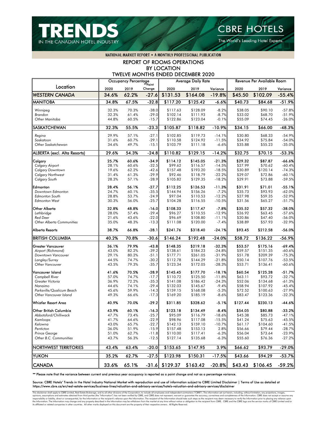



The World's Leading Hotel Experts.

NATIONAL MARKET REPORT . A MONTHLY PROFESSIONAL PUBLICATION

REPORT OF ROOMS OPERATIONS BY LOCATION TWELVE MONTHS ENDED DECEMBER 2020

|                                                 |                | Occupancy Percentage |                    |                      | <b>Average Daily Rate</b> |                    |                    | Revenue Per Available Room |                      |
|-------------------------------------------------|----------------|----------------------|--------------------|----------------------|---------------------------|--------------------|--------------------|----------------------------|----------------------|
| Location                                        | 2020           | 2019                 | Change             | 2020                 | 2019                      | Variance           | 2020               | 2019                       | Variance             |
| <b>WESTERN CANADA</b>                           | 34.6%          | 62.2%                | $-27.6$            | \$131.53             | \$164.08                  | $-19.8%$           | \$45.50            | \$102.09                   | $-55.4%$             |
| <b>MANITOBA</b>                                 | 34.8%          | 67.5%                | $-32.8$            | \$117.20             | \$125.42                  | $-6.6%$            | \$40.73            | \$84.68                    | $-51.9%$             |
| Winnipeg                                        | 32.3%          | 70.3%                | $-38.0$            | \$117.63             | \$128.09                  | $-8.2%$            | \$38.05            | \$90.10                    | $-57.8%$             |
| Brandon                                         | 32.3%          | 61.4%                | $-29.0$            | \$102.14             | \$111.93                  | $-8.7%$            | \$33.02            | \$68.70                    | $-51.9%$             |
| Other Manitoba                                  | 44.8%          | 60.5%                | $-15.7$            | \$122.86             | \$123.04                  | $-0.1%$            | \$55.09            | \$74.45                    | $-26.0%$             |
|                                                 |                |                      |                    |                      |                           |                    |                    |                            |                      |
| SASKATCHEWAN                                    | 32.3%          | 55.5%                | $-23.3$            | \$105.87             | \$118.82                  | $-10.9%$           | \$34.15            | \$66.00                    | $-48.3%$             |
| Regina                                          | 29.9%          | 57.1%                | $-27.1$            | \$102.85             | \$119.73                  | $-14.1%$           | \$30.80            | \$68.33                    | $-54.9%$             |
| Saskatoon                                       | 31.6%          | 60.7%                | $-29.1$            | \$110.58             | \$124.92                  | $-11.5%$           | \$34.92            | \$75.84                    | $-54.0%$             |
| Other Saskatchewan                              | 34.6%          | 49.7%                | $-15.1$            | \$103.79             | \$111.18                  | $-6.6%$            | \$35.88            | \$55.23                    | $-35.0%$             |
| ALBERTA (excl. Alta Resorts)                    | 29.6%          | 54.3%                | $-24.8$            | \$110.82             | \$129.15                  | $-14.2%$           | \$32.75            | \$70.15                    | $-53.3%$             |
| Calgary                                         | 25.7%          | 60.6%                | $-34.9$            | \$114.12             | \$145.05                  | -21.3%             | \$29.32            | \$87.87                    | $-66.6%$             |
| <b>Calgary Airport</b>                          | 28.1%          | 60.6%                | $-32.5$            | \$99.62              | \$116.57                  | $-14.5%$           | \$27.99            | \$70.62                    | $-60.4%$             |
| <b>Calgary Downtown</b>                         | 19.6%          | 62.2%                | $-42.6$            | \$157.48             | \$193.20                  | $-18.5%$           | \$30.89            | \$120.14                   | $-74.3%$             |
| <b>Calgary Northwest</b>                        | 31.4%          | 61.3%                | $-29.9$            | \$92.46              | \$118.79                  | $-22.2%$           | \$29.07            | \$72.86                    | $-60.1%$             |
| Calgary South                                   | 28.3%          | 57.1%                | $-28.9$            | \$105.82             | \$129.35                  | $-18.2%$           | \$29.91            | \$73.88                    | $-59.5%$             |
|                                                 |                |                      |                    |                      |                           |                    |                    |                            |                      |
| Edmonton                                        | 28.4%          | 56.1%                | $-27.7$            | \$112.25             | \$126.53                  | $-11.3%$           | \$31.91            | \$71.01                    | $-55.1%$             |
| Downtown Edmonton                               | 24.7%          | 60.1%                | $-35.5$            | \$144.94             | \$156.26                  | $-7.2%$            | \$35.73            | \$93.93                    | $-62.0%$             |
| <b>Edmonton South</b>                           | 28.8%          | 53.7%                | $-24.9$            | \$97.04              | \$110.53                  | $-12.2%$           | \$27.98            | \$59.35                    | $-52.9%$             |
| <b>Edmonton West</b>                            | 30.3%          | 56.0%                | $-25.7$            | \$104.28             | \$116.55                  | $-10.5%$           | \$31.56            | \$65.27                    | $-51.7%$             |
| Other Alberta                                   | 32.8%          | 48.8%                | $-16.0$            | \$108.33             | \$117.47                  | $-7.8%$            | \$35.52            | \$57.32                    | $-38.0%$             |
| Lethbridge                                      | 28.0%          | 57.4%                | $-29.4$            | \$96.27              | \$110.55                  | $-12.9%$           | \$26.92            | \$63.45                    | $-57.6%$             |
| <b>Red Deer</b>                                 | 21.6%          | 43.6%                | $-22.0$            | \$96.69              | \$108.80                  | $-11.1%$           | \$20.86            | \$47.40                    | $-56.0%$             |
| <b>Other Alberta Communities</b>                | 35.0%          | 48.3%                | $-13.3$            | \$111.08             | \$120.00                  | $-7.4%$            | \$38.89            | \$57.93                    | $-32.9%$             |
| Alberta Resorts                                 | 38.7%          | 66.8%                | $-28.1$            | \$241.76             | \$318.40                  | -24.1%             | \$93.45            | \$212.58                   | $-56.0%$             |
| <b>BRITISH COLUMBIA</b>                         | 40.2%          | 70.8%                | $-30.6$            | \$146.24             | \$192.48                  | $-24.0%$           | \$58.72            | \$136.22                   | $-56.9%$             |
| Greater Vancouver                               | 36.1%          | 79.9%                | $-43.8$            | \$148.35             | \$219.18                  | $-32.3%$           | \$53.57            | \$175.16                   | $-69.4%$             |
| Airport (Richmond)                              | 43.0%          | 82.2%                | $-39.2$            | \$138.61             | \$184.23                  | $-24.8%$           | \$59.57            | \$151.35                   | $-60.6%$             |
| Downtown Vancouver                              | 29.1%          | 80.2%                | $-51.1$            | \$177.71             | \$261.05                  | $-31.9%$           | \$51.78            | \$209.39                   | $-75.3%$             |
| Langley/Surrey                                  | 44.5%          | 74.7%                | $-30.2$            | \$112.78             | \$144.29                  | $-21.8%$           | \$50.14            | \$107.76                   | $-53.5%$             |
| <b>Other Vancouver</b>                          | 43.5%          | 79.3%                | $-35.7$            | \$123.34             | \$172.05                  | $-28.3%$           | \$53.71            | \$136.41                   | $-60.6%$             |
| Vancouver Island                                | 41.6%          | 70.5%                | $-28.9$            | \$145.45             | \$177.70                  | $-18.1%$           | \$60.54            | \$125.28                   | $-51.7%$             |
| <b>Campbell River</b>                           | 57.0%          | 74.7%                | $-17.7$            | \$110.72             | \$125.50                  | $-11.8%$           | \$63.11            | \$93.72                    | $-32.7%$             |
| Greater Victoria                                | 36.9%          | 72.2%                | $-35.3$            | \$141.08             | \$186.42                  | $-24.3%$           | \$52.06            | \$134.68                   | $-61.3%$             |
| Nanaimo                                         | 44.6%          | 74.1%                | $-29.4$            | \$132.03             | \$145.67                  | $-9.4%$            | \$58.94            | \$107.92                   | $-45.4%$             |
| Parksville/Qualicum Beach                       | 45.6%          | 59.9%                | $-14.3$            | \$159.15             | \$168.08                  | $-5.3%$            | \$72.52            | \$100.63                   | $-27.9%$             |
| Other Vancouver Island                          | 49.3%          | 66.6%                | $-17.3$            | \$169.20             | \$185.19                  | $-8.6%$            | \$83.47            | \$123.36                   | $-32.3%$             |
| Whistler Resort Area                            | 40.9%          | 70.0%                | $-29.2$            | \$311.85             | \$328.62                  | $-5.1%$            | \$127.44           | \$230.13                   | -44.6%               |
|                                                 |                |                      |                    |                      |                           |                    |                    |                            |                      |
| Other British Columbia<br>Abbotsford/Chilliwack | 43.9%          | 60.1%                | $-16.3$            | \$123.18<br>\$95.09  | \$134.49                  | $-8.4%$            | \$54.05            | \$80.88                    | $-33.2%$             |
|                                                 | 47.7%          | 73.4%                | $-25.7$            |                      | \$116.79                  | $-18.6%$           | \$45.38            | \$85.73                    | $-47.1%$             |
| Kamloops                                        | 41.7%          | 64.6%                | $-22.9$            | \$98.96              | \$117.08                  | $-15.5%$           | \$41.24            | \$75.63                    | $-45.5%$             |
| Kelowna                                         | 43.0%          | 65.7%<br>51.9%       | $-22.7$<br>$-15.9$ | \$142.13             | \$159.10                  | $-10.7%$           | \$61.17            | \$104.60<br>\$79.44        | $-41.5%$             |
| Penticton                                       | 36.0%          |                      |                    | \$157.48             | \$153.13                  | 2.8%               | \$56.66<br>\$56.04 | \$73.64                    | $-28.7%$             |
| Prince George<br>Other B.C. Communities         | 51.0%<br>43.7% | 62.7%<br>56.3%       | $-11.8$<br>$-12.5$ | \$110.00<br>\$127.14 | \$117.41<br>\$135.68      | $-6.3%$<br>$-6.3%$ | \$55.60            | \$76.36                    | $-23.9%$<br>$-27.2%$ |
|                                                 |                |                      |                    |                      |                           |                    |                    |                            |                      |
| NORTHWEST TERRITORIES                           | 43.4%          | 63.4%                | $-20.0$            | \$153.65             | \$147.95                  | 3.9%               | \$66.62            | \$93.79                    | $-29.0%$             |
| <b>YUKON</b>                                    | 35.2%          | 62.7%                | $-27.5$            | \$123.98             | \$150.31                  | $-17.5%$           | \$43.66            | \$94.29                    | $-53.7%$             |
| <b>CANADA</b>                                   | 33.6%          | 65.1%                |                    | $-31.6$ \$129.37     | \$163.42                  | $-20.8%$           | \$43.43            | \$106.45                   | $-59.2%$             |

\*\* Please note that the variance between current and previous year occupancy is reported as a point change and not as a percentage variance.

#### Source: CBRE Hotels' Trends in the Hotel Industry National Market with reproduction and use of information subject to CBRE Limited Disclaimer | Terms of Use as detailed at https://www.cbre.ca/en/real-estate-services/business-lines/valuation-and-advisory-services/hotels-valuation-and-advisory-services/disclaimer

This disclaimer shall apply to CBRE Limited, Real Estate Brokerage, and to all other divisions of the Corporation; to include all employees and independent contractors ("CBRE"). The information set out herein, including, w opinons, assumptions and estimates obtained from third parties (the "Information") has not been verified by CBRE and the formation of the recipient's reliance upon the Information. The recipient of the Information abould t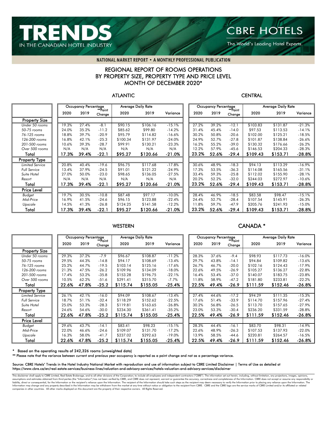

The World's Leading Hotel Experts.

NATIONAL MARKET REPORT . A MONTHLY PROFESSIONAL PUBLICATION

### REGIONAL REPORT OF ROOMS OPERATIONS BY PROPERTY SIZE, PROPERTY TYPE AND PRICE LEVEL MONTH OF DECEMBER 2020\*

### ATLANTIC CENTRAL

|                        |       | <b>Occupancy Percentage</b> | **Point ∗ |          | <b>Average Daily Rate</b> |          |       | <b>Occupancy Percentage</b> | **Point | <b>Average Daily Rate</b> |          |          |  |
|------------------------|-------|-----------------------------|-----------|----------|---------------------------|----------|-------|-----------------------------|---------|---------------------------|----------|----------|--|
|                        | 2020  | 2019                        | Change    | 2020     | 2019                      | Variance | 2020  | 2019                        | Change  | 2020                      | 2019     | Variance |  |
| <b>Property Size</b>   |       |                             |           |          |                           |          |       |                             |         |                           |          |          |  |
| Under 50 rooms         | 19.3% | 27.4%                       | $-8.1$    | \$90.15  | \$106.16                  | $-15.1%$ | 27.2% | 39.2%                       | $-12.1$ | \$103.83                  | \$131.87 | $-21.3%$ |  |
| 50-75 rooms            | 24.0% | 35.2%                       | $-11.2$   | \$85.62  | \$99.80                   | $-14.2%$ | 31.4% | 45.4%                       | $-14.0$ | \$97.53                   | \$113.53 | $-14.1%$ |  |
| 76-125 rooms           | 18.8% | 39.7%                       | $-20.9$   | \$95.79  | \$114.82                  | $-16.6%$ | 30.2% | 50.8%                       | $-20.6$ | \$102.00                  | \$125.21 | $-18.5%$ |  |
| 126-200 rooms          | 16.8% | 42.1%                       | $-25.3$   | \$100.34 | \$131.97                  | $-24.0%$ | 24.9% | 52.7%                       | $-27.8$ | \$101.87                  | \$138.84 | $-26.6%$ |  |
| 201-500 rooms          | 10.6% | 39.3%                       | $-28.7$   | \$99.91  | \$130.21                  | $-23.3%$ | 16.2% | 55.2%                       | $-39.0$ | \$130.32                  | \$176.66 | $-26.2%$ |  |
| Over 500 rooms         | N/A   | N/A                         | N/A       | N/A      | N/A                       | N/A      | 12.2% | 57.9%                       | $-45.6$ | \$146.53                  | \$204.33 | $-28.3%$ |  |
| Total                  | 17.3% | 39.4%                       | $-22.5$   | \$95.27  | \$120.66                  | $-21.0%$ | 23.2% | 52.6%                       | $-29.4$ | \$109.43                  | \$153.71 | -28.8%   |  |
| <b>Property Type</b>   |       |                             |           |          |                           |          |       |                             |         |                           |          |          |  |
| <b>Limited Service</b> | 20.8% | 40.4%                       | $-19.6$   | \$96.75  | \$117.68                  | $-17.8%$ | 30.6% | 48.9%                       | $-18.3$ | \$94.13                   | \$113.29 | $-16.9%$ |  |
| <b>Full Service</b>    | 13.4% | 37.9%                       | $-24.5$   | \$91.01  | \$121.22                  | $-24.9%$ | 17.3% | 53.5%                       | $-36.3$ | \$114.08                  | \$165.56 | $-31.1%$ |  |
| Suite Hotel            | 27.0% | 50.0%                       | $-23.0$   | \$98.65  | \$136.05                  | $-27.5%$ | 33.4% | 59.3%                       | $-25.8$ | \$112.02                  | \$155.90 | $-28.1%$ |  |
| Resort                 | N/A   | N/A                         | N/A       | N/A      | N/A                       | N/A      | 20.2% | 52.2%                       | $-32.0$ | \$244.03                  | \$272.97 | $-10.6%$ |  |
| Total                  | 17.3% | 39.4%                       | $-22.7$   | \$95.27  | \$120.66                  | $-21.0%$ | 23.2% | 52.6%                       | $-29.4$ | \$109.43                  | \$153.71 | -28.8%   |  |
| <b>Price Level</b>     |       |                             |           |          |                           |          |       |                             |         |                           |          |          |  |
| Budget                 | 19.7% | 30.5%                       | $-10.8$   | \$87.48  | \$97.17                   | $-10.0%$ | 28.4% | 46.9%                       | $-18.5$ | \$83.58                   | \$98.47  | $-15.1%$ |  |
| Mid-Price              | 16.9% | 41.5%                       | $-24.6$   | \$96.15  | \$123.88                  | $-22.4%$ | 24.4% | 52.7%                       | $-28.4$ | \$107.54                  | \$145.91 | $-26.3%$ |  |
| Upscale                | 14.5% | 41.3%                       | $-26.8$   | \$124.25 | \$141.58                  | $-12.2%$ | 11.8% | 59.7%                       | $-47.9$ | \$205.76                  | \$241.93 | $-15.0%$ |  |
| Total                  | 7.3%  | 39.4%                       | $-22.1$   | \$95.27  | \$120.66                  | $-21.0%$ | 23.2% | 52.6%                       | $-29.4$ | \$109.43                  | \$153.71 | $-28.8%$ |  |

### WESTERN CANADA \*

|                        |       | <b>Occupancy Percentage</b> |                   |          | <b>Average Daily Rate</b> |          |       | <b>Occupancy Percentage</b> |                   | <b>Average Daily Rate</b> |          |          |  |
|------------------------|-------|-----------------------------|-------------------|----------|---------------------------|----------|-------|-----------------------------|-------------------|---------------------------|----------|----------|--|
|                        | 2020  | 2019                        | **Point<br>Change | 2020     | 2019                      | Variance | 2020  | 2019                        | **Point<br>Change | 2020                      | 2019     | Variance |  |
| <b>Property Size</b>   |       |                             |                   |          |                           |          |       |                             |                   |                           |          |          |  |
| Under 50 rooms         | 29.3% | 37.2%                       | $-7.9$            | \$96.67  | \$108.87                  | $-11.2%$ | 28.3% | 37.6%                       | $-9.4$            | \$98.93                   | \$117.73 | $-16.0%$ |  |
| 50-75 rooms            | 29.5% | 44.3%                       | $-14.8$           | \$94.17  | \$108.69                  | $-13.4%$ | 29.7% | 43.8%                       | $-14.1$           | \$94.84                   | \$109.82 | $-13.6%$ |  |
| 76-125 rooms           | 25.2% | 44.7%                       | $-19.5$           | \$103.14 | \$125.16                  | $-17.6%$ | 26.7% | 46.7%                       | $-20.0$           | \$102.16                  | \$124.43 | $-17.9%$ |  |
| 126-200 rooms          | 21.3% | 47.5%                       | $-26.2$           | \$109.96 | \$134.09                  | $-18.0%$ | 22.6% | 49.5%                       | $-26.9$           | \$105.27                  | \$136.27 | $-22.8%$ |  |
| 201-500 rooms          | 17.4% | 53.2%                       | $-35.8$           | \$153.28 | \$196.75                  | $-22.1%$ | 16.4% | 53.4%                       | $-37.0$           | \$140.07                  | \$183.75 | $-23.8%$ |  |
| Over 500 rooms         | 10.5% | 62.2%                       | $-51.6$           | \$291.41 | \$315.70                  | $-7.7%$  | 11.8% | 58.9%                       | $-47.2$           | \$181.80                  | \$233.81 | $-22.2%$ |  |
| Total                  | 22.6% | 47.8%                       | $-25.2$           | \$115.74 | \$155.05                  | -25.4%   | 22.5% | 49.4%                       | -26.9             | \$111.59                  | \$152.46 | -26.8%   |  |
| <b>Property Type</b>   |       |                             |                   |          |                           |          |       |                             |                   |                           |          |          |  |
| <b>Limited Service</b> | 26.1% | 42.1%                       | $-16.0$           | \$94.09  | \$108.67                  | $-13.4%$ | 27.4% | 44.6%                       | $-17.2$           | \$94.29                   | \$111.35 | $-15.3%$ |  |
| <b>Full Service</b>    | 18.7% | 51.1%                       | $-32.4$           | \$118.29 | \$152.62                  | $-22.5%$ | 17.6% | 51.4%                       | $-33.9$           | \$114.70                  | \$157.96 | $-27.4%$ |  |
| Suite Hotel            | 25.0% | 53.3%                       | $-28.3$           | \$119.81 | \$163.65                  | $-26.8%$ | 30.2% | 56.8%                       | $-26.5$           | \$113.70                  | \$157.65 | $-27.9%$ |  |
| Resort                 | 24.6% | 54.6%                       | $-30.0$           | \$234.30 | \$361.41                  | $-35.2%$ | 23.0% | 53.3%                       | $-30.4$           | \$236.20                  | \$331.59 | $-28.8%$ |  |
| Total                  | 22.6% | 47.8%                       | $-25.2$           | \$115.74 | \$155.05                  | -25.4%   | 22.5% | 49.4%                       | $-26.9$           | \$111.59                  | \$152.46 | $-26.8%$ |  |
| Price Level            |       |                             |                   |          |                           |          |       |                             |                   |                           |          |          |  |
| Budget                 | 29.6% | 43.7%                       | $-14.1$           | \$83.41  | \$98.23                   | $-15.1%$ | 28.3% | 44.4%                       | $-16.1$           | \$83.70                   | \$98.31  | $-14.9%$ |  |
| Mid-Price              | 22.0% | 46.6%                       | $-24.6$           | \$109.07 | \$131.70                  | $-17.2%$ | 22.6% | 48.9%                       | $-26.3$           | \$107.53                  | \$137.93 | $-22.0%$ |  |
| Upscale                | 16.3% | 58.0%                       | $-41.7$           | \$237.02 | \$292.63                  | $-19.0%$ | 13.9% | 58.5%                       | $-44.6$           | \$220.81                  | \$264.57 | $-16.5%$ |  |
| Total                  | 22.6% | 47.8%                       | $-25.2$           | \$115.74 | \$155.05                  | $-25.4%$ | 22.5% | 49.4%                       | -26.9             | \$111.59                  | \$152.46 | $-26.8%$ |  |

\* Based on the operating results of 242,326 rooms (unweighted data)

\*\* Please note that the variance between current and previous year occupancy is reported as a point change and not as a percentage variance.

Source: CBRE Hotels' Trends in the Hotel Industry National Market with reproduction and use of information subject to CBRE Limited Disclaimer | Terms of Use as detailed at https://www.cbre.ca/en/real-estate-services/business-lines/valuation-and-advisory-services/hotels-valuation-and-advisory-services/disclaimer

This disclaimer shall apply to CBRE Limited, Real Estate Brokerage, and to all other divisions of the Corporation; to include all employees and independent contractors ("CBRE"). The information set out herein, including, w assumptions and estimates obtained from third parties (the "Information") has not been verified by CBRE, and CBRE does not represent, warrant or guarantee the accuracy, correctness and completeness of the Information. CBRE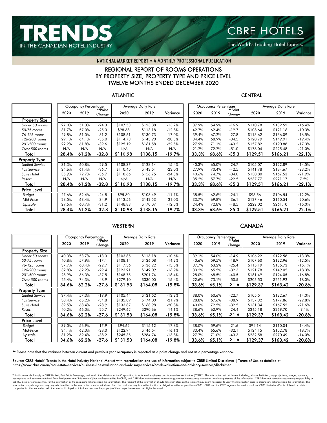

The World's Leading Hotel Experts.

#### NATIONAL MARKET REPORT . A MONTHLY PROFESSIONAL PUBLICATION

### REGIONAL REPORT OF ROOMS OPERATIONS BY PROPERTY SIZE, PROPERTY TYPE AND PRICE LEVEL TWELVE MONTHS ENDED DECEMBER 2020

#### ATLANTIC CENTRAL

|                        | <b>Occupancy Percentage</b><br>**Point* |       |         |          | <b>Average Daily Rate</b> |          |       | <b>Occupancy Percentage</b> | **Point | Average Daily Rate |          |          |  |
|------------------------|-----------------------------------------|-------|---------|----------|---------------------------|----------|-------|-----------------------------|---------|--------------------|----------|----------|--|
|                        | 2020                                    | 2019  | Change  | 2020     | 2019                      | Variance | 2020  | 2019                        | Change  | 2020               | 2019     | Variance |  |
| <b>Property Size</b>   |                                         |       |         |          |                           |          |       |                             |         |                    |          |          |  |
| Under 50 rooms         | 27.0%                                   | 51.3% | $-24.3$ | \$107.53 | \$123.88                  | $-13.2%$ | 37.9% | 54.9%                       | $-16.9$ | \$110.78           | \$132.52 | $-16.4%$ |  |
| 50-75 rooms            | 31.7%                                   | 57.0% | $-25.3$ | \$98.68  | \$113.18                  | $-12.8%$ | 42.7% | 62.4%                       | $-19.7$ | \$108.64           | \$121.16 | $-10.3%$ |  |
| 76-125 rooms           | 29.8%                                   | 61.0% | $-31.2$ | \$108.51 | \$130.73                  | $-17.0%$ | 39.4% | 67.2%                       | $-27.8$ | \$113.62           | \$136.09 | $-16.5%$ |  |
| 126-200 rooms          | 29.1%                                   | 64.1% | $-35.0$ | \$114.73 | \$143.90                  | $-20.3%$ | 34.4% | 68.9%                       | $-34.5$ | \$120.79           | \$149.91 | $-19.4%$ |  |
| 201-500 rooms          | 22.2%                                   | 61.8% | -39.6   | \$125.19 | \$161.58                  | $-22.5%$ | 27.9% | 71.1%                       | $-43.2$ | \$157.82           | \$190.88 | $-17.3%$ |  |
| Over 500 rooms         | N/A                                     | N/A   | N/A     | N/A      | N/A                       | N/A      | 21.7% | 72.7%                       | $-51.0$ | \$178.04           | \$225.48 | $-21.0%$ |  |
| Total                  | 28.4%                                   | 61.2% | $-32.8$ | \$110.98 | \$138.15                  | $-19.7%$ | 33.3% | 68.6%                       | $-35.3$ | \$129.51           | \$166.21 | $-22.1%$ |  |
| <b>Property Type</b>   |                                         |       |         |          |                           |          |       |                             |         |                    |          |          |  |
| <b>Limited Service</b> | 31.3%                                   | 60.8% | $-29.5$ | \$108.37 | \$128.14                  | $-15.4%$ | 40.3% | 65.0%                       | $-24.7$ | \$105.07           | \$122.89 | $-14.5%$ |  |
| <b>Full Service</b>    | 24.6%                                   | 61.4% | $-36.7$ | \$110.45 | \$143.51                  | $-23.0%$ | 27.9% | 70.4%                       | $-42.5$ | \$141.78           | \$184.67 | $-23.2%$ |  |
| Suite Hotel            | 35.9%                                   | 72.7% | $-36.7$ | \$118.66 | \$156.75                  | $-24.3%$ | 40.6% | 74.7%                       | $-34.0$ | \$130.80           | \$167.53 | $-21.9%$ |  |
| Resort                 | N/A                                     | N/A   | N/A     | N/A      | N/A                       | N/A      | 35.2% | 57.7%                       | $-22.5$ | \$237.77           | \$221.17 | 7.5%     |  |
| Total                  | 28.4%                                   | 61.2% | $-32.8$ | \$110.98 | \$138.15                  | -19.7%   | 33.3% | 68.6%                       | $-35.3$ | \$129.51           | \$166.21 | $-22.1%$ |  |
| Price Level            |                                         |       |         |          |                           |          |       |                             |         |                    |          |          |  |
| Budget                 | 27.6%                                   | 52.4% | $-24.8$ | \$95.80  | \$108.49                  | $-11.7%$ | 38.5% | 62.6%                       | $-24.1$ | \$93.56            | \$106.54 | $-12.2%$ |  |
| Mid-Price              | 28.5%                                   | 63.4% | $-34.9$ | \$112.56 | \$142.53                  | $-21.0%$ | 33.7% | 69.8%                       | $-36.1$ | \$127.46           | \$160.54 | $-20.6%$ |  |
| Upscale                | 29.5%                                   | 60.7% | $-31.2$ | \$148.83 | \$170.07                  | $-12.5%$ | 24.4% | 72.8%                       | $-48.5$ | \$222.02           | \$261.10 | $-15.0%$ |  |
| Total                  | 28.4%                                   | 61.2% | $-32.8$ | \$110.98 | \$138.15                  | -19.7%   | 33.3% | 68.6%                       | $-35.3$ | \$129.51           | \$166.21 | $-22.1%$ |  |

### WESTERN CANADA

|                        |       | <b>Occupancy Percentage</b> |                   |          | <b>Average Daily Rate</b> |          |       | <b>Occupancy Percentage</b> |                   | <b>Average Daily Rate</b> |          |          |  |
|------------------------|-------|-----------------------------|-------------------|----------|---------------------------|----------|-------|-----------------------------|-------------------|---------------------------|----------|----------|--|
|                        | 2020  | 2019                        | **Point<br>Change | 2020     | 2019                      | Variance | 2020  | 2019                        | **Point<br>Change | 2020                      | 2019     | Variance |  |
| <b>Property Size</b>   |       |                             |                   |          |                           |          |       |                             |                   |                           |          |          |  |
| Under 50 rooms         | 40.3% | 53.7%                       | $-13.3$           | \$103.85 | \$116.18                  | $-10.6%$ | 39.1% | 54.0%                       | $-14.9$           | \$106.22                  | \$122.58 | $-13.3%$ |  |
| 50-75 rooms            | 40.8% | 57.9%                       | $-17.1$           | \$108.14 | \$126.08                  | $-14.2%$ | 40.6% | 59.5%                       | $-18.9$           | \$107.60                  | \$122.96 | $-12.5%$ |  |
| 76-125 rooms           | 37.7% | 60.4%                       | $-22.7$           | \$117.36 | \$136.22                  | $-13.8%$ | 37.7% | 63.2%                       | $-25.4$           | \$115.19                  | \$135.73 | $-15.1%$ |  |
| 126-200 rooms          | 32.8% | 62.2%                       | $-29.4$           | \$123.91 | \$149.09                  | $-16.9%$ | 33.2% | 65.5%                       | $-32.3$           | \$121.78                  | \$149.05 | $-18.3%$ |  |
| 201-500 rooms          | 28.9% | 66.3%                       | $-37.5$           | \$168.75 | \$201.74                  | $-16.4%$ | 28.0% | 68.5%                       | $-40.5$           | \$161.49                  | \$194.05 | $-16.8%$ |  |
| Over 500 rooms         | 25.4% | 74.3%                       | $-48.9$           | \$279.10 | \$330.00                  | $-15.4%$ | 22.6% | 73.1%                       | $-50.5$           | \$206.53                  | \$251.92 | $-18.0%$ |  |
| Total                  | 34.6% | 62.2%                       | -27.6             | \$131.53 | \$164.08                  | $-19.8%$ | 33.6% | 65.1%                       | $-31.6$           | \$129.37                  | \$163.42 | $-20.8%$ |  |
| <b>Property Type</b>   |       |                             |                   |          |                           |          |       |                             |                   |                           |          |          |  |
| <b>Limited Service</b> | 37.4% | 57.3%                       | $-19.9$           | \$105.44 | \$121.52                  | $-13.2%$ | 38.0% | 60.6%                       | $-22.7$           | \$105.51                  | \$122.67 | $-14.0%$ |  |
| <b>Full Service</b>    | 30.4% | 65.2%                       | $-34.8$           | \$135.89 | \$174.00                  | $-21.9%$ | 28.8% | 67.6%                       | $-38.9$           | \$137.32                  | \$177.86 | $-22.8%$ |  |
| Suite Hotel            | 39.5% | 68.4%                       | $-28.9$           | \$133.87 | \$168.98                  | $-20.8%$ | 40.0% | 72.5%                       | $-32.5$           | \$131.34                  | \$167.52 | $-21.6%$ |  |
| Resort                 | 40.2% | 66.0%                       | $-25.7$           | \$249.62 | \$290.66                  | $-14.1%$ | 38.6% | 62.9%                       | $-24.4$           | \$245.18                  | \$269.70 | $-9.1%$  |  |
| Total                  | 34.6% | 62.2%                       | -27.6             | \$131.53 | \$164.08                  | $-19.8%$ | 33.6% | 65.1%                       | $-31.6$           | \$129.37                  | \$163.42 | $-20.8%$ |  |
| Price Level            |       |                             |                   |          |                           |          |       |                             |                   |                           |          |          |  |
| Budget                 | 39.0% | 56.9%                       | $-17.9$           | \$94.62  | \$115.12                  | $-17.8%$ | 38.0% | 59.6%                       | $-21.6$           | \$94.14                   | \$110.04 | $-14.4%$ |  |
| Mid-Price              | 34.1% | 62.0%                       | $-28.0$           | \$122.94 | \$146.54                  | $-16.1%$ | 33.4% | 65.6%                       | $-32.1$           | \$124.15                  | \$152.78 | $-18.7%$ |  |
| Upscale                | 31.2% | 69.4%                       | $-38.2$           | \$245.35 | \$284.74                  | $-13.8%$ | 27.7% | 71.0%                       | $-43.3$           | \$232.58                  | \$270.49 | $-14.0%$ |  |
| Total                  | 34.6% | 62.2%                       | $-27.6$           | \$131.53 | \$164.08                  | $-19.8%$ | 33.6% | 65.1%                       | $-31.6$           | \$129.37                  | \$163.42 | -20.8%   |  |

\*\* Please note that the variance between current and previous year occupancy is reported as a point change and not as a percentage variance.

Source: CBRE Hotels' Trends in the Hotel Industry National Market with reproduction and use of information subject to CBRE Limited Disclaimer | Terms of Use as detailed at https://www.cbre.ca/en/real-estate-services/business-lines/valuation-and-advisory-services/hotels-valuation-and-advisory-services/disclaimer

This disclaimer shall apply to CBRE Limited, Real Estate Brokerage, and to all other divisions of the Corporation; to include all employees and independent contractors ("CBRE"). The information set out herein, including, w assumptions and estimates obtained from third parties (the "Information") has not been verified by CBRE, and CBRE does not represent, warrant or guarantee the accuracy, correctness and completeness of the Information. CBRE